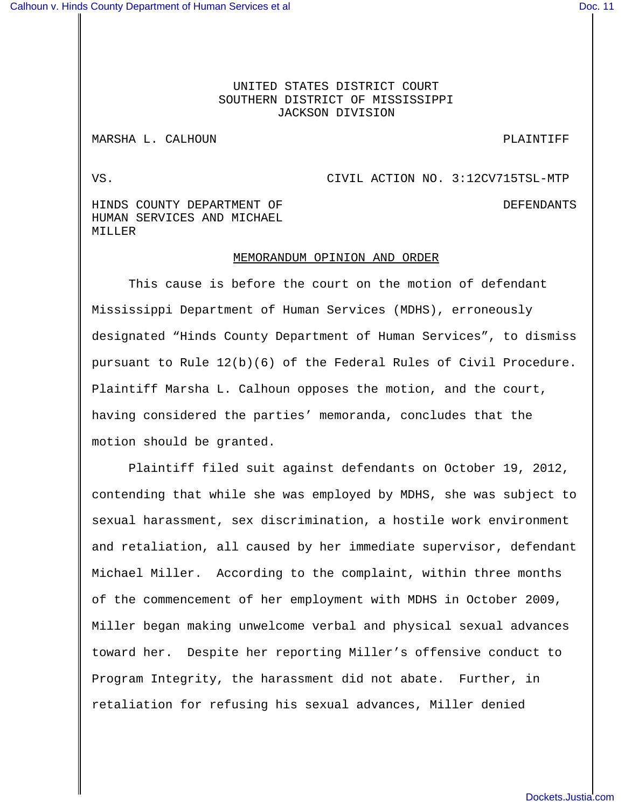## UNITED STATES DISTRICT COURT SOUTHERN DISTRICT OF MISSISSIPPI JACKSON DIVISION

## MARSHA L. CALHOUN **PLAINTIFF**

VS. CIVIL ACTION NO. 3:12CV715TSL-MTP

HINDS COUNTY DEPARTMENT OF **Example 20** OUNTY DEFENDANTS HUMAN SERVICES AND MICHAEL MILLER

## MEMORANDUM OPINION AND ORDER

This cause is before the court on the motion of defendant Mississippi Department of Human Services (MDHS), erroneously designated "Hinds County Department of Human Services", to dismiss pursuant to Rule 12(b)(6) of the Federal Rules of Civil Procedure. Plaintiff Marsha L. Calhoun opposes the motion, and the court, having considered the parties' memoranda, concludes that the motion should be granted.

Plaintiff filed suit against defendants on October 19, 2012, contending that while she was employed by MDHS, she was subject to sexual harassment, sex discrimination, a hostile work environment and retaliation, all caused by her immediate supervisor, defendant Michael Miller. According to the complaint, within three months of the commencement of her employment with MDHS in October 2009, Miller began making unwelcome verbal and physical sexual advances toward her. Despite her reporting Miller's offensive conduct to Program Integrity, the harassment did not abate. Further, in retaliation for refusing his sexual advances, Miller denied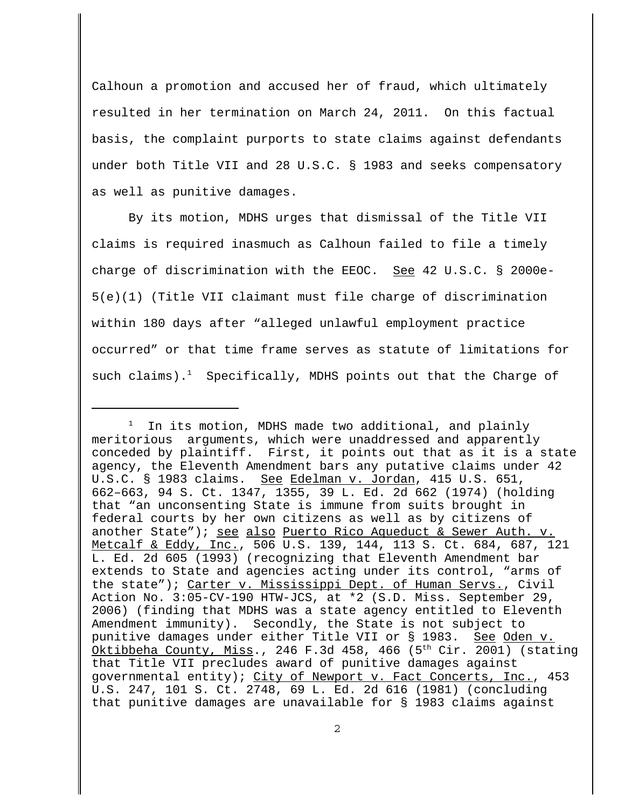Calhoun a promotion and accused her of fraud, which ultimately resulted in her termination on March 24, 2011. On this factual basis, the complaint purports to state claims against defendants under both Title VII and 28 U.S.C. § 1983 and seeks compensatory as well as punitive damages.

By its motion, MDHS urges that dismissal of the Title VII claims is required inasmuch as Calhoun failed to file a timely charge of discrimination with the EEOC. See 42 U.S.C. § 2000e-5(e)(1) (Title VII claimant must file charge of discrimination within 180 days after "alleged unlawful employment practice occurred" or that time frame serves as statute of limitations for such claims).<sup>1</sup> Specifically, MDHS points out that the Charge of

 $1$  In its motion, MDHS made two additional, and plainly meritorious arguments, which were unaddressed and apparently conceded by plaintiff. First, it points out that as it is a state agency, the Eleventh Amendment bars any putative claims under 42 U.S.C. § 1983 claims. See Edelman v. Jordan, 415 U.S. 651, 662–663, 94 S. Ct. 1347, 1355, 39 L. Ed. 2d 662 (1974) (holding that "an unconsenting State is immune from suits brought in federal courts by her own citizens as well as by citizens of another State"); see also Puerto Rico Aqueduct & Sewer Auth. v. Metcalf & Eddy, Inc., 506 U.S. 139, 144, 113 S. Ct. 684, 687, 121 L. Ed. 2d 605 (1993) (recognizing that Eleventh Amendment bar extends to State and agencies acting under its control, "arms of the state"); Carter v. Mississippi Dept. of Human Servs., Civil Action No. 3:05-CV-190 HTW-JCS, at \*2 (S.D. Miss. September 29, 2006) (finding that MDHS was a state agency entitled to Eleventh Amendment immunity). Secondly, the State is not subject to punitive damages under either Title VII or § 1983. See Oden v. Oktibbeha County, Miss., 246 F.3d 458, 466 (5<sup>th</sup> Cir. 2001) (stating that Title VII precludes award of punitive damages against governmental entity); City of Newport v. Fact Concerts, Inc., 453 U.S. 247, 101 S. Ct. 2748, 69 L. Ed. 2d 616 (1981) (concluding that punitive damages are unavailable for § 1983 claims against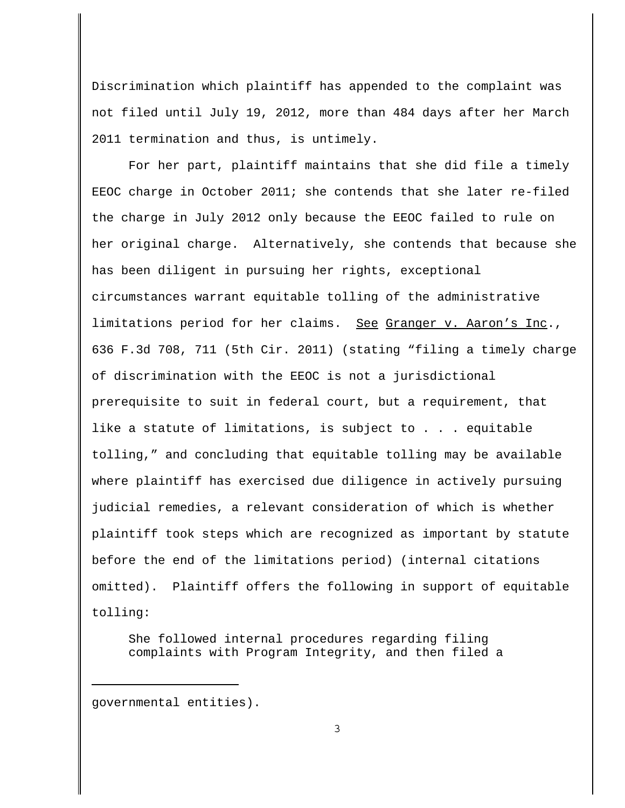Discrimination which plaintiff has appended to the complaint was not filed until July 19, 2012, more than 484 days after her March 2011 termination and thus, is untimely.

For her part, plaintiff maintains that she did file a timely EEOC charge in October 2011; she contends that she later re-filed the charge in July 2012 only because the EEOC failed to rule on her original charge. Alternatively, she contends that because she has been diligent in pursuing her rights, exceptional circumstances warrant equitable tolling of the administrative limitations period for her claims. See Granger v. Aaron's Inc., 636 F.3d 708, 711 (5th Cir. 2011) (stating "filing a timely charge of discrimination with the EEOC is not a jurisdictional prerequisite to suit in federal court, but a requirement, that like a statute of limitations, is subject to . . . equitable tolling," and concluding that equitable tolling may be available where plaintiff has exercised due diligence in actively pursuing judicial remedies, a relevant consideration of which is whether plaintiff took steps which are recognized as important by statute before the end of the limitations period) (internal citations omitted). Plaintiff offers the following in support of equitable tolling:

She followed internal procedures regarding filing complaints with Program Integrity, and then filed a

governmental entities).